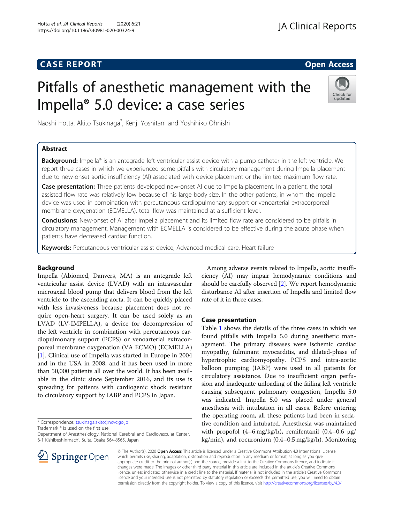# **CASE REPORT And SERVICE SERVICE SERVICE SERVICE SERVICE SERVICE SERVICE SERVICE SERVICE SERVICE SERVICE SERVICE**

# Pitfalls of anesthetic management with the Impella® 5.0 device: a case series



Naoshi Hotta, Akito Tsukinaga\* , Kenji Yoshitani and Yoshihiko Ohnishi

## Abstract

Background: Impella® is an antegrade left ventricular assist device with a pump catheter in the left ventricle. We report three cases in which we experienced some pitfalls with circulatory management during Impella placement due to new-onset aortic insufficiency (AI) associated with device placement or the limited maximum flow rate.

Case presentation: Three patients developed new-onset AI due to Impella placement. In a patient, the total assisted flow rate was relatively low because of his large body size. In the other patients, in whom the Impella device was used in combination with percutaneous cardiopulmonary support or venoarterial extracorporeal membrane oxygenation (ECMELLA), total flow was maintained at a sufficient level.

**Conclusions:** New-onset of AI after Impella placement and its limited flow rate are considered to be pitfalls in circulatory management. Management with ECMELLA is considered to be effective during the acute phase when patients have decreased cardiac function.

Keywords: Percutaneous ventricular assist device, Advanced medical care, Heart failure

#### Background

Impella (Abiomed, Danvers, MA) is an antegrade left ventricular assist device (LVAD) with an intravascular microaxial blood pump that delivers blood from the left ventricle to the ascending aorta. It can be quickly placed with less invasiveness because placement does not require open-heart surgery. It can be used solely as an LVAD (LV-IMPELLA), a device for decompression of the left ventricle in combination with percutaneous cardiopulmonary support (PCPS) or venoarterial extracorporeal membrane oxygenation (VA ECMO) (ECMELLA) [[1\]](#page-4-0). Clinical use of Impella was started in Europe in 2004 and in the USA in 2008, and it has been used in more than 50,000 patients all over the world. It has been available in the clinic since September 2016, and its use is spreading for patients with cardiogenic shock resistant to circulatory support by IABP and PCPS in Japan.

\* Correspondence: [tsukinaga.akito@ncvc.go.jp](mailto:tsukinaga.akito@ncvc.go.jp)

Trademark ® is used on the first use.

Department of Anesthesiology, National Cerebral and Cardiovascular Center, 6-1 Kishibeshinmachi, Suita, Osaka 564-8565, Japan

Among adverse events related to Impella, aortic insufficiency (AI) may impair hemodynamic conditions and should be carefully observed [[2](#page-4-0)]. We report hemodynamic disturbance AI after insertion of Impella and limited flow rate of it in three cases.

#### Case presentation

Table [1](#page-1-0) shows the details of the three cases in which we found pitfalls with Impella 5.0 during anesthetic management. The primary diseases were ischemic cardiac myopathy, fulminant myocarditis, and dilated-phase of hypertrophic cardiomyopathy. PCPS and intra-aortic balloon pumping (IABP) were used in all patients for circulatory assistance. Due to insufficient organ perfusion and inadequate unloading of the failing left ventricle causing subsequent pulmonary congestion, Impella 5.0 was indicated. Impella 5.0 was placed under general anesthesia with intubation in all cases. Before entering the operating room, all these patients had been in sedative condition and intubated. Anesthesia was maintained with propofol  $(4-6 \text{ mg/kg/h})$ , remifentanil  $(0.4-0.6 \text{ µg})$ kg/min), and rocuronium (0.4–0.5 mg/kg/h). Monitoring



© The Author(s). 2020 Open Access This article is licensed under a Creative Commons Attribution 4.0 International License, which permits use, sharing, adaptation, distribution and reproduction in any medium or format, as long as you give appropriate credit to the original author(s) and the source, provide a link to the Creative Commons licence, and indicate if changes were made. The images or other third party material in this article are included in the article's Creative Commons licence, unless indicated otherwise in a credit line to the material. If material is not included in the article's Creative Commons licence and your intended use is not permitted by statutory regulation or exceeds the permitted use, you will need to obtain permission directly from the copyright holder. To view a copy of this licence, visit <http://creativecommons.org/licenses/by/4.0/>.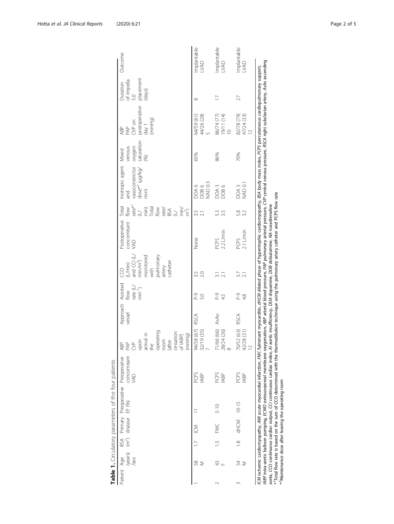<span id="page-1-0"></span>

|             |                    |                |                                          | Table 1. Circulatory parameters of the four patients             |                                                                                                                                                                                                                                                                                                |                                                                                                                 |                    |                                                       |                                                                                                 |                                            |                                                                      |                                                                                                                                                                                                                                                                                                                                                                                                                                   |                                                |                                                                 |                                                      |                     |
|-------------|--------------------|----------------|------------------------------------------|------------------------------------------------------------------|------------------------------------------------------------------------------------------------------------------------------------------------------------------------------------------------------------------------------------------------------------------------------------------------|-----------------------------------------------------------------------------------------------------------------|--------------------|-------------------------------------------------------|-------------------------------------------------------------------------------------------------|--------------------------------------------|----------------------------------------------------------------------|-----------------------------------------------------------------------------------------------------------------------------------------------------------------------------------------------------------------------------------------------------------------------------------------------------------------------------------------------------------------------------------------------------------------------------------|------------------------------------------------|-----------------------------------------------------------------|------------------------------------------------------|---------------------|
| Patient Age | /sex               | BSA            | (years) (m <sup>2</sup> ) diseasé EF (%) |                                                                  | concomitant<br>Primary Preoperative Preoperative<br>VAD                                                                                                                                                                                                                                        | operating<br>cessation<br>arrival in<br>(mmHg)<br>of IABP)<br>1000m<br>upon<br>(after<br>PAP<br>the<br>Š<br>ABP | Approach<br>vessel | Assisted<br>rate $(L)$<br>min <sup>-1</sup> )<br>flow | pulmonary<br>and CCI (L/ $min/m^2$ )<br>monitored<br>with<br>catheter<br>(L/min)<br>artery<br>g | Postoperative<br>concomitant<br><b>JAD</b> | rate* <sup>1</sup><br>(U)<br>Total<br>Total<br>flow<br>Total<br>flow | Inotropic agent<br>vasoconstrictor<br>dose* <sup>2</sup> (µg/kg/<br>min<br>and                                                                                                                                                                                                                                                                                                                                                    | oxygen<br>saturation<br>venous<br>Mixed<br>(8) | postoperative<br>(mmHq)<br>$CVP$ on<br>$1$ $\phi$<br>PAP<br>ABP | placement<br>Duration<br>of Impella<br>(days)<br>5.0 | Outcome             |
|             | $\frac{8}{5}$<br>⋝ |                | $\leq$                                   |                                                                  | PCPS<br><b>IABP</b>                                                                                                                                                                                                                                                                            | 94/58 (67)<br>32/19 (35)                                                                                        | RSCA               | p <sub>-9</sub><br>5.0                                | 2.0                                                                                             | None                                       | 3.5                                                                  | DOA 6<br>DOB 6<br>NAD 0.3                                                                                                                                                                                                                                                                                                                                                                                                         | 65%                                            | 44/26 (28)<br>64/59 (61)                                        | $\infty$                                             | Implantable<br>LVAD |
|             | 43                 | $\frac{15}{1}$ | FMC                                      | $5 - 10$                                                         | PCPS<br><b>IABP</b>                                                                                                                                                                                                                                                                            | 71/66 (66)<br>28/24 (26)                                                                                        | AsAo               | P-9<br>45                                             | $\overline{21}$                                                                                 | $2.2$ L/min<br>PCPS                        | 53<br>35                                                             | DOA 3<br>DOB 6                                                                                                                                                                                                                                                                                                                                                                                                                    | 86%                                            | 86/74 (77)<br>19/11 (14)<br>10                                  | $\overline{1}$                                       | mplantable<br>LVAD  |
| Z           | 54<br>Σ            | $\frac{8}{1}$  | dHCM 10-15                               |                                                                  | PCPS<br><b>IABP</b>                                                                                                                                                                                                                                                                            | 70/52 (63)<br>42/28 (31)<br>$\overline{2}$                                                                      | RSCA               | P-9<br>4.8                                            | 3.7                                                                                             | $2.1$ L/min<br>PCPS                        | 5.8<br>3.2                                                           | DOA 3<br>NAD 0.1                                                                                                                                                                                                                                                                                                                                                                                                                  | 70%                                            | 82/78 (79)<br>47/24 (33)<br>$\overline{\mathbf{C}}$             | 27                                                   | Implantable<br>LVAD |
|             |                    |                |                                          | * <sup>2</sup> Maintenance dose after leaving the operating room | *Total flow rate is based on the sum of CCO determined with the thermodilution technique using the pulmonary artery catheter and PCPS flow rate<br>aorta, CCO continuous cardiac output, CCI continuous cardiac index, AI aortic insufficiency, DOA dopamine, DOB dobutamine, MA noradrenaline |                                                                                                                 |                    |                                                       |                                                                                                 |                                            |                                                                      | ABP intra-aortic balloon pumping, ECMO extracorporeal membrane oxygenation, ABP arterial bood pressure, PAP pulmonary arterial pressure, CVP central venous pressure, RSCA right subclavian artery, AsAo ascending<br>ICM ischemic cardiomyopathy, AMI acute myocardial infarction, FMC fulminant myocarditis, dHCM dilated phase of hypertrophic cardiomyopathy, BSA body mass index, PCPS percutaneous cardiopulmonary support, |                                                |                                                                 |                                                      |                     |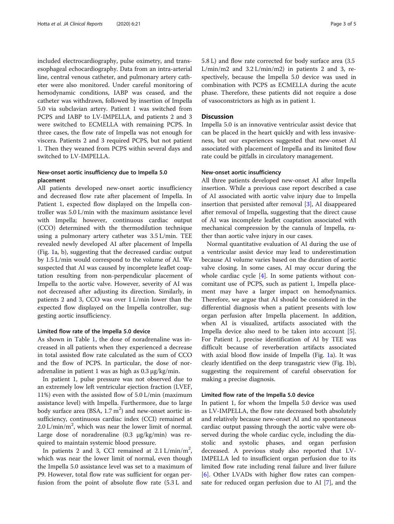included electrocardiography, pulse oximetry, and transesophageal echocardiography. Data from an intra-arterial line, central venous catheter, and pulmonary artery catheter were also monitored. Under careful monitoring of hemodynamic conditions, IABP was ceased, and the catheter was withdrawn, followed by insertion of Impella 5.0 via subclavian artery. Patient 1 was switched from PCPS and IABP to LV-IMPELLA, and patients 2 and 3 were switched to ECMELLA with remaining PCPS. In three cases, the flow rate of Impella was not enough for viscera. Patients 2 and 3 required PCPS, but not patient 1. Then they weaned from PCPS within several days and switched to LV-IMPELLA.

#### New-onset aortic insufficiency due to Impella 5.0 placement

All patients developed new-onset aortic insufficiency and decreased flow rate after placement of Impella. In Patient 1, expected flow displayed on the Impella controller was 5.0 L/min with the maximum assistance level with Impella; however, continuous cardiac output (CCO) determined with the thermodilution technique using a pulmonary artery catheter was 3.5 L/min. TEE revealed newly developed AI after placement of Impella (Fig. [1a](#page-3-0), b), suggesting that the decreased cardiac output by 1.5 L/min would correspond to the volume of AI. We suspected that AI was caused by incomplete leaflet coaptation resulting from non-perpendicular placement of Impella to the aortic valve. However, severity of AI was not decreased after adjusting its direction. Similarly, in patients 2 and 3, CCO was over 1 L/min lower than the expected flow displayed on the Impella controller, suggesting aortic insufficiency.

#### Limited flow rate of the Impella 5.0 device

As shown in Table [1](#page-1-0), the dose of noradrenaline was increased in all patients when they experienced a decrease in total assisted flow rate calculated as the sum of CCO and the flow of PCPS. In particular, the dose of noradrenaline in patient 1 was as high as 0.3 μg/kg/min.

In patient 1, pulse pressure was not observed due to an extremely low left ventricular ejection fraction (LVEF, 11%) even with the assisted flow of 5.0 L/min (maximum assistance level) with Impella. Furthermore, due to large body surface area (BSA,  $1.7 \text{ m}^2$ ) and new-onset aortic insufficiency, continuous cardiac index (CCI) remained at  $2.0$  L/min/m<sup>2</sup>, which was near the lower limit of normal. Large dose of noradrenaline (0.3 μg/kg/min) was required to maintain systemic blood pressure.

In patients 2 and 3, CCI remained at  $2.1 \text{ L/min/m}^2$ , which was near the lower limit of normal, even though the Impella 5.0 assistance level was set to a maximum of P9. However, total flow rate was sufficient for organ perfusion from the point of absolute flow rate (5.3 L and 5.8 L) and flow rate corrected for body surface area (3.5  $L/min/m2$  and  $3.2 L/min/m2$ ) in patients 2 and 3, respectively, because the Impella 5.0 device was used in combination with PCPS as ECMELLA during the acute phase. Therefore, these patients did not require a dose of vasoconstrictors as high as in patient 1.

#### **Discussion**

Impella 5.0 is an innovative ventricular assist device that can be placed in the heart quickly and with less invasiveness, but our experiences suggested that new-onset AI associated with placement of Impella and its limited flow rate could be pitfalls in circulatory management.

#### New-onset aortic insufficiency

All three patients developed new-onset AI after Impella insertion. While a previous case report described a case of AI associated with aortic valve injury due to Impella insertion that persisted after removal [\[3](#page-4-0)], AI disappeared after removal of Impella, suggesting that the direct cause of AI was incomplete leaflet coaptation associated with mechanical compression by the cannula of Impella, rather than aortic valve injury in our cases.

Normal quantitative evaluation of AI during the use of a ventricular assist device may lead to underestimation because AI volume varies based on the duration of aortic valve closing. In some cases, AI may occur during the whole cardiac cycle [\[4](#page-4-0)]. In some patients without concomitant use of PCPS, such as patient 1, Impella placement may have a larger impact on hemodynamics. Therefore, we argue that AI should be considered in the differential diagnosis when a patient presents with low organ perfusion after Impella placement. In addition, when AI is visualized, artifacts associated with the Impella device also need to be taken into account [\[5](#page-4-0)]. For Patient 1, precise identification of AI by TEE was difficult because of reverberation artifacts associated with axial blood flow inside of Impella (Fig. [1](#page-3-0)a). It was clearly identified on the deep transgastric view (Fig. [1](#page-3-0)b), suggesting the requirement of careful observation for making a precise diagnosis.

#### Limited flow rate of the Impella 5.0 device

In patient 1, for whom the Impella 5.0 device was used as LV-IMPELLA, the flow rate decreased both absolutely and relatively because new-onset AI and no spontaneous cardiac output passing through the aortic valve were observed during the whole cardiac cycle, including the diastolic and systolic phases, and organ perfusion decreased. A previous study also reported that LV-IMPELLA led to insufficient organ perfusion due to its limited flow rate including renal failure and liver failure [[6\]](#page-4-0). Other LVADs with higher flow rates can compensate for reduced organ perfusion due to AI [[7\]](#page-4-0), and the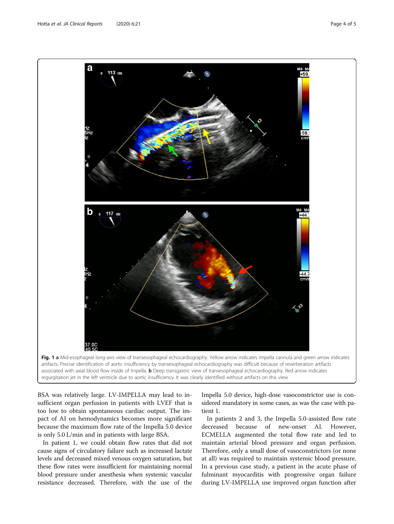<span id="page-3-0"></span>

associated with axial blood flow inside of Impella. **b** Deep transgastric view of transesophageal echocardiography. Red arrow indicates regurgitation jet in the left ventricle due to aortic insufficiency. It was clearly identified without artifacts on this view

BSA was relatively large. LV-IMPELLA may lead to insufficient organ perfusion in patients with LVEF that is too low to obtain spontaneous cardiac output. The impact of AI on hemodynamics becomes more significant because the maximum flow rate of the Impella 5.0 device is only 5.0 L/min and in patients with large BSA.

In patient 1, we could obtain flow rates that did not cause signs of circulatory failure such as increased lactate levels and decreased mixed venous oxygen saturation, but these flow rates were insufficient for maintaining normal blood pressure under anesthesia when systemic vascular resistance decreased. Therefore, with the use of the

Impella 5.0 device, high-dose vasoconstrictor use is considered mandatory in some cases, as was the case with patient 1.

In patients 2 and 3, the Impella 5.0-assisted flow rate decreased because of new-onset AI. However, ECMELLA augmented the total flow rate and led to maintain arterial blood pressure and organ perfusion. Therefore, only a small dose of vasoconstrictors (or none at all) was required to maintain systemic blood pressure. In a previous case study, a patient in the acute phase of fulminant myocarditis with progressive organ failure during LV-IMPELLA use improved organ function after